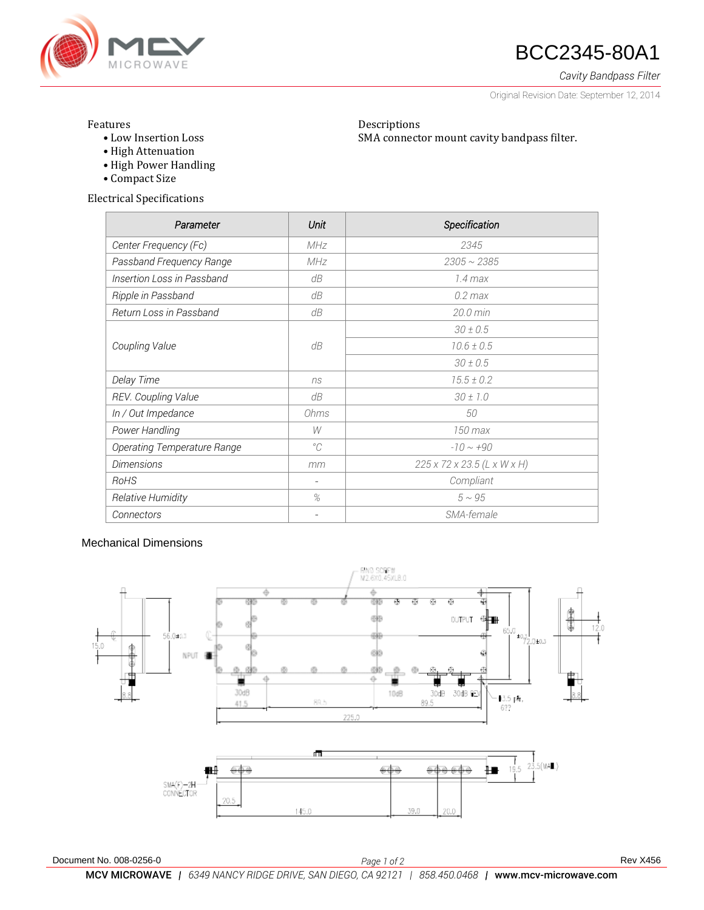

# **ANGROWAVE BCC2345-80A1**

*Cavity Bandpass Filter*

Original Revision Date: September 12, 2014

### Features

• Low Insertion Loss

Descriptions SMA connector mount cavity bandpass filter.

- High Attenuation
- High Power Handling
- Compact Size

Electrical Specifications

| Parameter                   | Unit        | Specification               |
|-----------------------------|-------------|-----------------------------|
| Center Frequency (Fc)       | MHz         | 2345                        |
| Passband Frequency Range    | MHz         | $2305 \sim 2385$            |
| Insertion Loss in Passband  | dB          | $1.4 \,\mathrm{max}$        |
| Ripple in Passband          | dB          | $0.2$ max                   |
| Return Loss in Passband     | dB          | $20.0 \text{ min}$          |
| Coupling Value              | dB          | $30 \pm 0.5$                |
|                             |             | $10.6 \pm 0.5$              |
|                             |             | $30 \pm 0.5$                |
| Delay Time                  | ns          | $15.5 \pm 0.2$              |
| REV. Coupling Value         | dB          | $30 \pm 1.0$                |
| In / Out Impedance          | Ohms        | 50                          |
| Power Handling              | W           | 150 max                     |
| Operating Temperature Range | $^{\circ}C$ | $-10 \sim +90$              |
| <b>Dimensions</b>           | mm          | 225 x 72 x 23.5 (L x W x H) |
| RoHS                        |             | Compliant                   |
| Relative Humidity           | %           | $5 \sim 95$                 |
| Connectors                  |             | SMA-female                  |

## Mechanical Dimensions